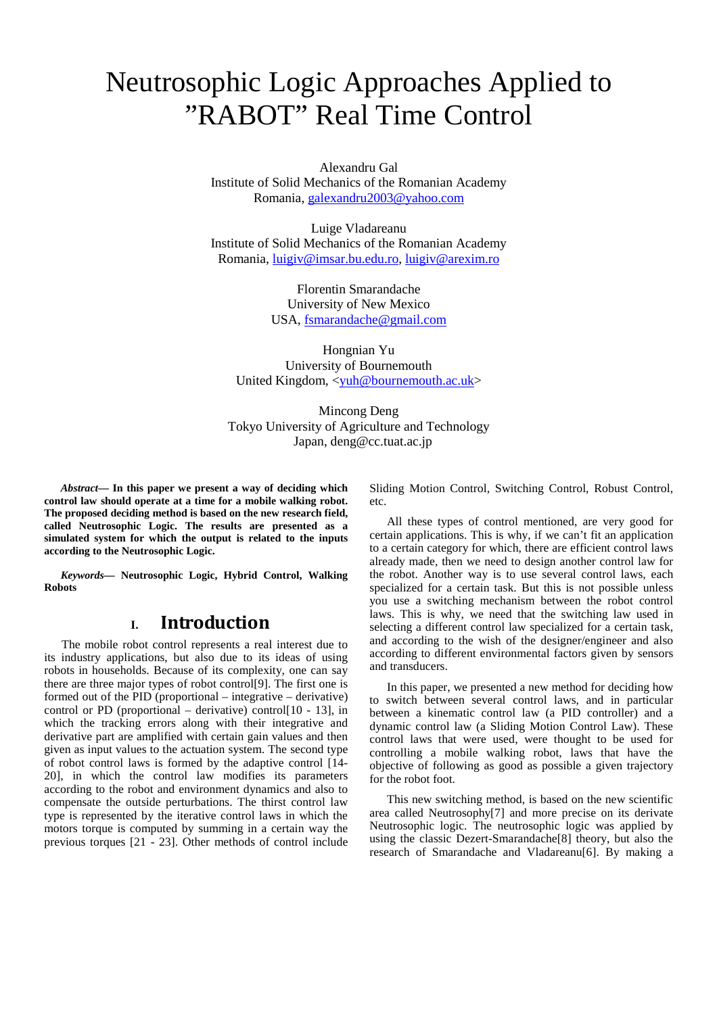# Neutrosophic Logic Approaches Applied to "RABOT" Real Time Control

Alexandru Gal

Institute of Solid Mechanics of the Romanian Academy Romania, galexandru2003@yahoo.com

Luige Vladareanu Institute of Solid Mechanics of the Romanian Academy Romania, luigiv@imsar.bu.edu.ro, luigiv@arexim.ro

> Florentin Smarandache University of New Mexico USA, fsmarandache@gmail.com

Hongnian Yu University of Bournemouth United Kingdom, <vuh@bournemouth.ac.uk>

Mincong Deng Tokyo University of Agriculture and Technology Japan, deng@cc.tuat.ac.jp

*Abstract***— In this paper we present a way of deciding which control law should operate at a time for a mobile walking robot. The proposed deciding method is based on the new research field, called Neutrosophic Logic. The results are presented as a simulated system for which the output is related to the inputs according to the Neutrosophic Logic.** 

*Keywords—* **Neutrosophic Logic, Hybrid Control, Walking Robots** 

### **I. Introduction**

The mobile robot control represents a real interest due to its industry applications, but also due to its ideas of using robots in households. Because of its complexity, one can say there are three major types of robot control[9]. The first one is formed out of the PID (proportional – integrative – derivative) control or PD (proportional – derivative) control[10 - 13], in which the tracking errors along with their integrative and derivative part are amplified with certain gain values and then given as input values to the actuation system. The second type of robot control laws is formed by the adaptive control [14- 20], in which the control law modifies its parameters according to the robot and environment dynamics and also to compensate the outside perturbations. The thirst control law type is represented by the iterative control laws in which the motors torque is computed by summing in a certain way the previous torques [21 - 23]. Other methods of control include Sliding Motion Control, Switching Control, Robust Control, etc.

All these types of control mentioned, are very good for certain applications. This is why, if we can't fit an application to a certain category for which, there are efficient control laws already made, then we need to design another control law for the robot. Another way is to use several control laws, each specialized for a certain task. But this is not possible unless you use a switching mechanism between the robot control laws. This is why, we need that the switching law used in selecting a different control law specialized for a certain task, and according to the wish of the designer/engineer and also according to different environmental factors given by sensors and transducers.

In this paper, we presented a new method for deciding how to switch between several control laws, and in particular between a kinematic control law (a PID controller) and a dynamic control law (a Sliding Motion Control Law). These control laws that were used, were thought to be used for controlling a mobile walking robot, laws that have the objective of following as good as possible a given trajectory for the robot foot.

This new switching method, is based on the new scientific area called Neutrosophy[7] and more precise on its derivate Neutrosophic logic. The neutrosophic logic was applied by using the classic Dezert-Smarandache[8] theory, but also the research of Smarandache and Vladareanu[6]. By making a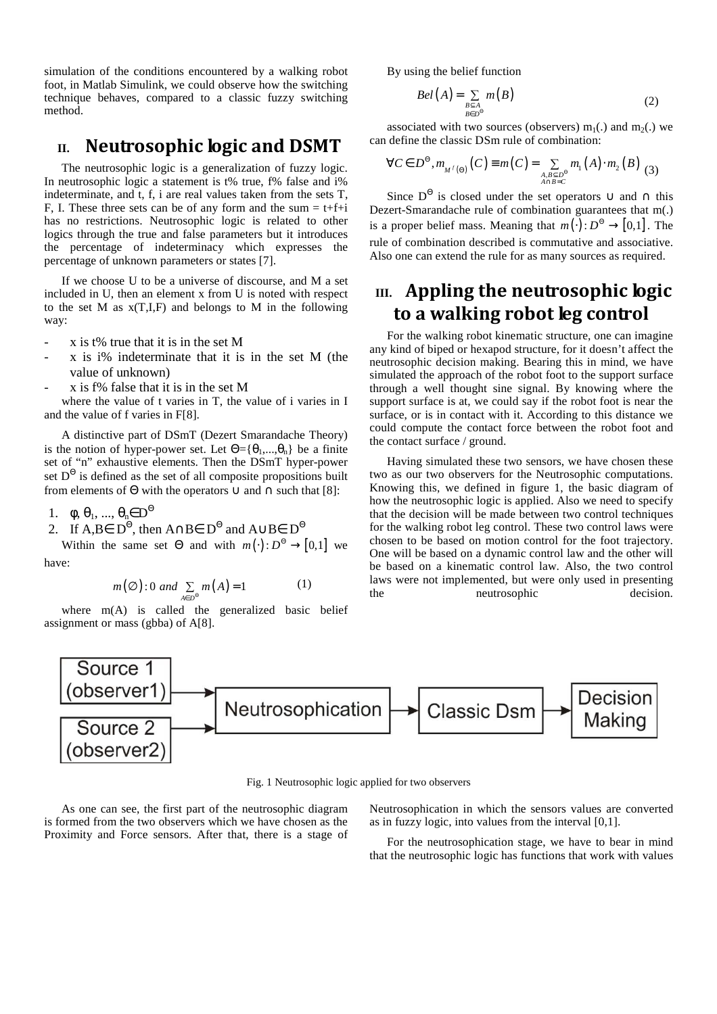simulation of the conditions encountered by a walking robot foot, in Matlab Simulink, we could observe how the switching technique behaves, compared to a classic fuzzy switching method.

### **II. Neutrosophic logic and DSMT**

The neutrosophic logic is a generalization of fuzzy logic. In neutrosophic logic a statement is t% true, f% false and i% indeterminate, and t, f, i are real values taken from the sets T, F, I. These three sets can be of any form and the sum  $= t+f+i$ has no restrictions. Neutrosophic logic is related to other logics through the true and false parameters but it introduces the percentage of indeterminacy which expresses the percentage of unknown parameters or states [7].

If we choose U to be a universe of discourse, and M a set included in U, then an element x from U is noted with respect to the set M as  $x(T,I,F)$  and belongs to M in the following way:

- $x$  is t% true that it is in the set M
- $x$  is  $i\%$  indeterminate that it is in the set M (the value of unknown)
- $x$  is f% false that it is in the set M

where the value of t varies in T, the value of i varies in I and the value of f varies in F[8].

A distinctive part of DSmT (Dezert Smarandache Theory) is the notion of hyper-power set. Let  $\Theta = {\theta_1, \dots, \theta_n}$  be a finite set of "n" exhaustive elements. Then the DSmT hyper-power set  $D^{\Theta}$  is defined as the set of all composite propositions built from elements of  $\Theta$  with the operators  $\cup$  and  $\cap$  such that [8]:

1.  $\phi$ ,  $\theta_1$ , ...,  $\theta_n \in D^{\Theta}$ 

2. If  $A, B \in D^{\Theta}$ , then  $A \cap B \in D^{\Theta}$  and  $A \cup B \in D^{\Theta}$ 

Within the same set  $\Theta$  and with  $m(\cdot): D^{\Theta} \to [0,1]$  we have:

$$
m(\varnothing):0 \text{ and } \sum_{A\in D^{\Theta}} m(A)=1
$$
 (1)

where m(A) is called the generalized basic belief assignment or mass (gbba) of A[8].

By using the belief function

$$
Bel(A) = \sum_{\substack{B \subseteq A \\ B \in D^{\Theta}}} m(B) \tag{2}
$$

associated with two sources (observers)  $m_1(.)$  and  $m_2(.)$  we can define the classic DSm rule of combination:

$$
\forall C \in D^{\Theta}, m_{M^{f}(\Theta)}(C) \equiv m(C) = \sum_{\substack{A, B \subset D^{\Theta} \\ A \cap B = C}} m_{1}(A) \cdot m_{2}(B) \tag{3}
$$

Since D<sup>Θ</sup> is closed under the set operators  $\cup$  and  $\cap$  this Dezert-Smarandache rule of combination guarantees that m(.) is a proper belief mass. Meaning that  $m(\cdot): D^{\Theta} \to [0,1]$ . The rule of combination described is commutative and associative. Also one can extend the rule for as many sources as required.

# **III. Appling the neutrosophic logic to a walking robot leg control**

For the walking robot kinematic structure, one can imagine any kind of biped or hexapod structure, for it doesn't affect the neutrosophic decision making. Bearing this in mind, we have simulated the approach of the robot foot to the support surface through a well thought sine signal. By knowing where the support surface is at, we could say if the robot foot is near the surface, or is in contact with it. According to this distance we could compute the contact force between the robot foot and the contact surface / ground.

Having simulated these two sensors, we have chosen these two as our two observers for the Neutrosophic computations. Knowing this, we defined in figure 1, the basic diagram of how the neutrosophic logic is applied. Also we need to specify that the decision will be made between two control techniques for the walking robot leg control. These two control laws were chosen to be based on motion control for the foot trajectory. One will be based on a dynamic control law and the other will be based on a kinematic control law. Also, the two control laws were not implemented, but were only used in presenting the neutrosophic decision.



Fig. 1 Neutrosophic logic applied for two observers

As one can see, the first part of the neutrosophic diagram is formed from the two observers which we have chosen as the Proximity and Force sensors. After that, there is a stage of Neutrosophication in which the sensors values are converted as in fuzzy logic, into values from the interval [0,1].

For the neutrosophication stage, we have to bear in mind that the neutrosophic logic has functions that work with values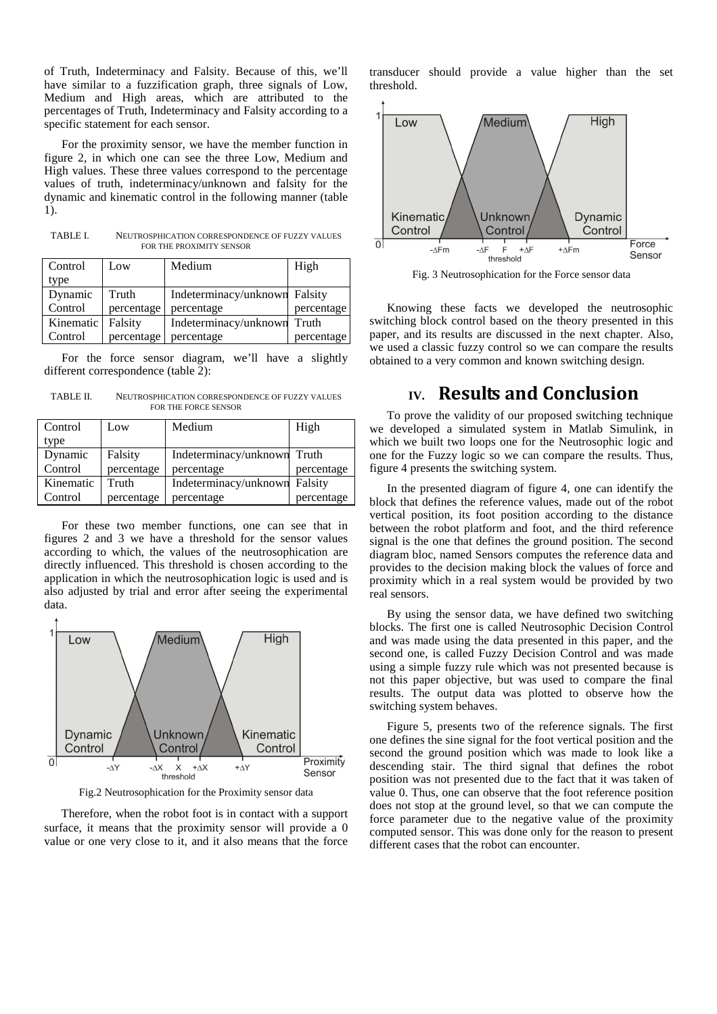of Truth, Indeterminacy and Falsity. Because of this, we'll have similar to a fuzzification graph, three signals of Low, Medium and High areas, which are attributed to the percentages of Truth, Indeterminacy and Falsity according to a specific statement for each sensor.

For the proximity sensor, we have the member function in figure 2, in which one can see the three Low, Medium and High values. These three values correspond to the percentage values of truth, indeterminacy/unknown and falsity for the dynamic and kinematic control in the following manner (table 1).

TABLE I. NEUTROSPHICATION CORRESPONDENCE OF FUZZY VALUES FOR THE PROXIMITY SENSOR

| Control   | Low        | Medium                        | High       |
|-----------|------------|-------------------------------|------------|
| type      |            |                               |            |
| Dynamic   | Truth      | Indeterminacy/unknown Falsity |            |
| Control   | percentage | percentage                    | percentage |
| Kinematic | Falsity    | Indeterminacy/unknown Truth   |            |
| Control   | percentage | percentage                    | percentage |

For the force sensor diagram, we'll have a slightly different correspondence (table 2):

TABLE II. NEUTROSPHICATION CORRESPONDENCE OF FUZZY VALUES FOR THE FORCE SENSOR

| Control   | Low        | Medium                      | High       |
|-----------|------------|-----------------------------|------------|
| type      |            |                             |            |
| Dynamic   | Falsity    | Indeterminacy/unknown Truth |            |
| Control   | percentage | percentage                  | percentage |
| Kinematic | Truth      | Indeterminacy/unknown       | Falsity    |
| Control   | percentage | percentage                  | percentage |

For these two member functions, one can see that in figures 2 and 3 we have a threshold for the sensor values according to which, the values of the neutrosophication are directly influenced. This threshold is chosen according to the application in which the neutrosophication logic is used and is also adjusted by trial and error after seeing the experimental data.



Fig.2 Neutrosophication for the Proximity sensor data

Therefore, when the robot foot is in contact with a support surface, it means that the proximity sensor will provide a 0 value or one very close to it, and it also means that the force transducer should provide a value higher than the set threshold.



Fig. 3 Neutrosophication for the Force sensor data

Knowing these facts we developed the neutrosophic switching block control based on the theory presented in this paper, and its results are discussed in the next chapter. Also, we used a classic fuzzy control so we can compare the results obtained to a very common and known switching design.

## **IV. Results and Conclusion**

To prove the validity of our proposed switching technique we developed a simulated system in Matlab Simulink, in which we built two loops one for the Neutrosophic logic and one for the Fuzzy logic so we can compare the results. Thus, figure 4 presents the switching system.

In the presented diagram of figure 4, one can identify the block that defines the reference values, made out of the robot vertical position, its foot position according to the distance between the robot platform and foot, and the third reference signal is the one that defines the ground position. The second diagram bloc, named Sensors computes the reference data and provides to the decision making block the values of force and proximity which in a real system would be provided by two real sensors.

By using the sensor data, we have defined two switching blocks. The first one is called Neutrosophic Decision Control and was made using the data presented in this paper, and the second one, is called Fuzzy Decision Control and was made using a simple fuzzy rule which was not presented because is not this paper objective, but was used to compare the final results. The output data was plotted to observe how the switching system behaves.

Figure 5, presents two of the reference signals. The first one defines the sine signal for the foot vertical position and the second the ground position which was made to look like a descending stair. The third signal that defines the robot position was not presented due to the fact that it was taken of value 0. Thus, one can observe that the foot reference position does not stop at the ground level, so that we can compute the force parameter due to the negative value of the proximity computed sensor. This was done only for the reason to present different cases that the robot can encounter.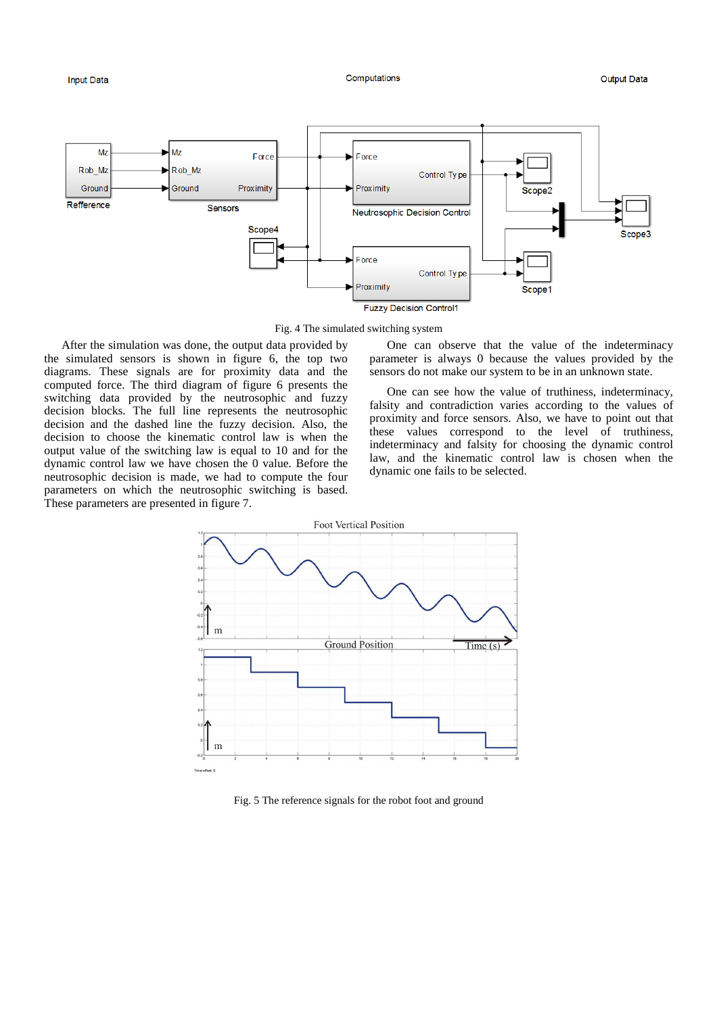

Fig. 4 The simulated switching system

After the simulation was done, the output data provided by the simulated sensors is shown in figure 6, the top two diagrams. These signals are for proximity data and the computed force. The third diagram of figure 6 presents the switching data provided by the neutrosophic and fuzzy decision blocks. The full line represents the neutrosophic decision and the dashed line the fuzzy decision. Also, the decision to choose the kinematic control law is when the output value of the switching law is equal to 10 and for the dynamic control law we have chosen the 0 value. Before the neutrosophic decision is made, we had to compute the four parameters on which the neutrosophic switching is based. These parameters are presented in figure 7.

One can observe that the value of the indeterminacy parameter is always 0 because the values provided by the sensors do not make our system to be in an unknown state.

One can see how the value of truthiness, indeterminacy, falsity and contradiction varies according to the values of proximity and force sensors. Also, we have to point out that these values correspond to the level of truthiness, indeterminacy and falsity for choosing the dynamic control law, and the kinematic control law is chosen when the dynamic one fails to be selected.



Fig. 5 The reference signals for the robot foot and ground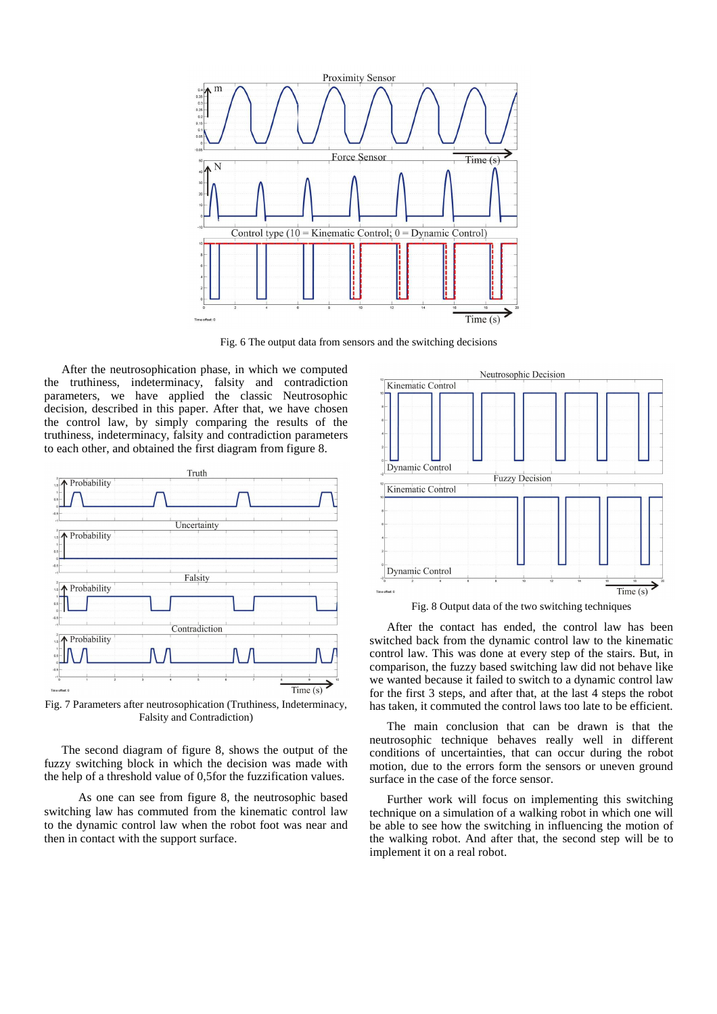

Fig. 6 The output data from sensors and the switching decisions

After the neutrosophication phase, in which we computed the truthiness, indeterminacy, falsity and contradiction parameters, we have applied the classic Neutrosophic decision, described in this paper. After that, we have chosen the control law, by simply comparing the results of the truthiness, indeterminacy, falsity and contradiction parameters to each other, and obtained the first diagram from figure 8.



Fig. 7 Parameters after neutrosophication (Truthiness, Indeterminacy, Falsity and Contradiction)

The second diagram of figure 8, shows the output of the fuzzy switching block in which the decision was made with the help of a threshold value of 0,5for the fuzzification values.

As one can see from figure 8, the neutrosophic based switching law has commuted from the kinematic control law to the dynamic control law when the robot foot was near and then in contact with the support surface.



Fig. 8 Output data of the two switching techniques

After the contact has ended, the control law has been switched back from the dynamic control law to the kinematic control law. This was done at every step of the stairs. But, in comparison, the fuzzy based switching law did not behave like we wanted because it failed to switch to a dynamic control law for the first 3 steps, and after that, at the last 4 steps the robot has taken, it commuted the control laws too late to be efficient.

The main conclusion that can be drawn is that the neutrosophic technique behaves really well in different conditions of uncertainties, that can occur during the robot motion, due to the errors form the sensors or uneven ground surface in the case of the force sensor.

Further work will focus on implementing this switching technique on a simulation of a walking robot in which one will be able to see how the switching in influencing the motion of the walking robot. And after that, the second step will be to implement it on a real robot.